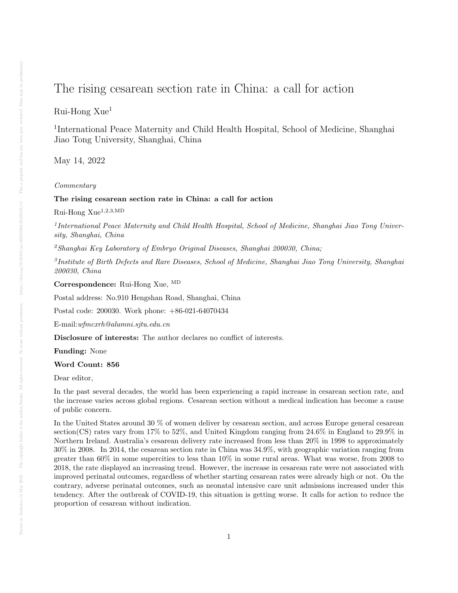# The rising cesarean section rate in China: a call for action

## Rui-Hong Xue<sup>1</sup>

<sup>1</sup>International Peace Maternity and Child Health Hospital, School of Medicine, Shanghai Jiao Tong University, Shanghai, China

May 14, 2022

### Commentary

#### The rising cesarean section rate in China: a call for action

Rui-Hong  $Xue^{1,2,3,MD}$ 

<sup>1</sup>International Peace Maternity and Child Health Hospital, School of Medicine, Shanghai Jiao Tong University, Shanghai, China

<sup>2</sup>Shanghai Key Laboratory of Embryo Original Diseases, Shanghai 200030, China;

3 Institute of Birth Defects and Rare Diseases, School of Medicine, Shanghai Jiao Tong University, Shanghai 200030, China

Correspondence: Rui-Hong Xue, MD

Postal address: No.910 Hengshan Road, Shanghai, China

Postal code: 200030. Work phone: +86-021-64070434

E-mail:wfmcxrh@alumni.sjtu.edu.cn

Disclosure of interests: The author declares no conflict of interests.

Funding: None

#### Word Count: 856

Dear editor,

In the past several decades, the world has been experiencing a rapid increase in cesarean section rate, and the increase varies across global regions. Cesarean section without a medical indication has become a cause of public concern.

In the United States around 30 % of women deliver by cesarean section, and across Europe general cesarean section(CS) rates vary from 17% to 52%, and United Kingdom ranging from 24.6% in England to 29.9% in Northern Ireland. Australia's cesarean delivery rate increased from less than 20% in 1998 to approximately 30% in 2008. In 2014, the cesarean section rate in China was 34.9%, with geographic variation ranging from greater than 60% in some supercities to less than 10% in some rural areas. What was worse, from 2008 to 2018, the rate displayed an increasing trend. However, the increase in cesarean rate were not associated with improved perinatal outcomes, regardless of whether starting cesarean rates were already high or not. On the contrary, adverse perinatal outcomes, such as neonatal intensive care unit admissions increased under this tendency. After the outbreak of COVID-19, this situation is getting worse. It calls for action to reduce the proportion of cesarean without indication.